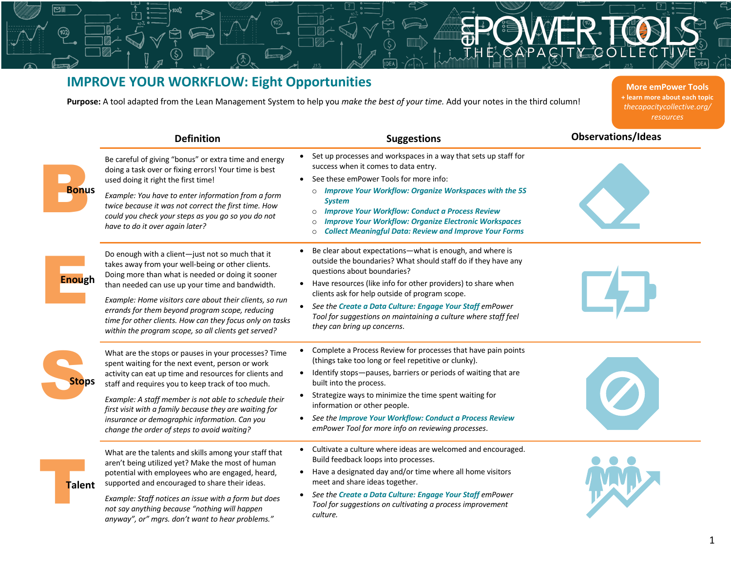## **IMPROVE YOUR WORKFLOW: Eight Opportunities**

**Purpose:** A tool adapted from the Lean Management System to help you *make the best of your time.* Add your notes in the third column!

**More emPower Tools + learn more about each topic** *thecapacitycollective.org/ resources*

|               | <b>Definition</b>                                                                                                                                                                                                                                                                                                                                                                                                                               | <b>Suggestions</b>                                                                                                                                                                                                                                                                                                                                                                                                                                                             | <b>Observations/Ideas</b> |
|---------------|-------------------------------------------------------------------------------------------------------------------------------------------------------------------------------------------------------------------------------------------------------------------------------------------------------------------------------------------------------------------------------------------------------------------------------------------------|--------------------------------------------------------------------------------------------------------------------------------------------------------------------------------------------------------------------------------------------------------------------------------------------------------------------------------------------------------------------------------------------------------------------------------------------------------------------------------|---------------------------|
| <b>Bonus</b>  | Be careful of giving "bonus" or extra time and energy<br>doing a task over or fixing errors! Your time is best<br>used doing it right the first time!<br>Example: You have to enter information from a form<br>twice because it was not correct the first time. How<br>could you check your steps as you go so you do not<br>have to do it over again later?                                                                                    | • Set up processes and workspaces in a way that sets up staff for<br>success when it comes to data entry.<br>• See these emPower Tools for more info:<br><b>Improve Your Workflow: Organize Workspaces with the 5S</b><br>$\circ$<br><b>System</b><br><b>Improve Your Workflow: Conduct a Process Review</b><br>$\circ$<br><b>Improve Your Workflow: Organize Electronic Workspaces</b><br>$\circ$<br><b>Collect Meaningful Data: Review and Improve Your Forms</b><br>$\circ$ |                           |
| <b>Enough</b> | Do enough with a client-just not so much that it<br>takes away from your well-being or other clients.<br>Doing more than what is needed or doing it sooner<br>than needed can use up your time and bandwidth.<br>Example: Home visitors care about their clients, so run<br>errands for them beyond program scope, reducing<br>time for other clients. How can they focus only on tasks<br>within the program scope, so all clients get served? | Be clear about expectations-what is enough, and where is<br>outside the boundaries? What should staff do if they have any<br>questions about boundaries?<br>• Have resources (like info for other providers) to share when<br>clients ask for help outside of program scope.<br>See the Create a Data Culture: Engage Your Staff emPower<br>$\bullet$<br>Tool for suggestions on maintaining a culture where staff feel<br>they can bring up concerns.                         |                           |
| <b>Stops</b>  | What are the stops or pauses in your processes? Time<br>spent waiting for the next event, person or work<br>activity can eat up time and resources for clients and<br>staff and requires you to keep track of too much.<br>Example: A staff member is not able to schedule their<br>first visit with a family because they are waiting for<br>insurance or demographic information. Can you<br>change the order of steps to avoid waiting?      | Complete a Process Review for processes that have pain points<br>$\bullet$<br>(things take too long or feel repetitive or clunky).<br>Identify stops-pauses, barriers or periods of waiting that are<br>$\bullet$<br>built into the process.<br>• Strategize ways to minimize the time spent waiting for<br>information or other people.<br>See the Improve Your Workflow: Conduct a Process Review<br>$\bullet$<br>emPower Tool for more info on reviewing processes.         |                           |
| <b>Talent</b> | What are the talents and skills among your staff that<br>aren't being utilized yet? Make the most of human<br>potential with employees who are engaged, heard,<br>supported and encouraged to share their ideas.<br>Example: Staff notices an issue with a form but does<br>not say anything because "nothing will happen<br>anyway", or" mgrs. don't want to hear problems."                                                                   | • Cultivate a culture where ideas are welcomed and encouraged.<br>Build feedback loops into processes.<br>• Have a designated day and/or time where all home visitors<br>meet and share ideas together.<br>See the Create a Data Culture: Engage Your Staff emPower<br>$\bullet$<br>Tool for suggestions on cultivating a process improvement<br>culture.                                                                                                                      |                           |